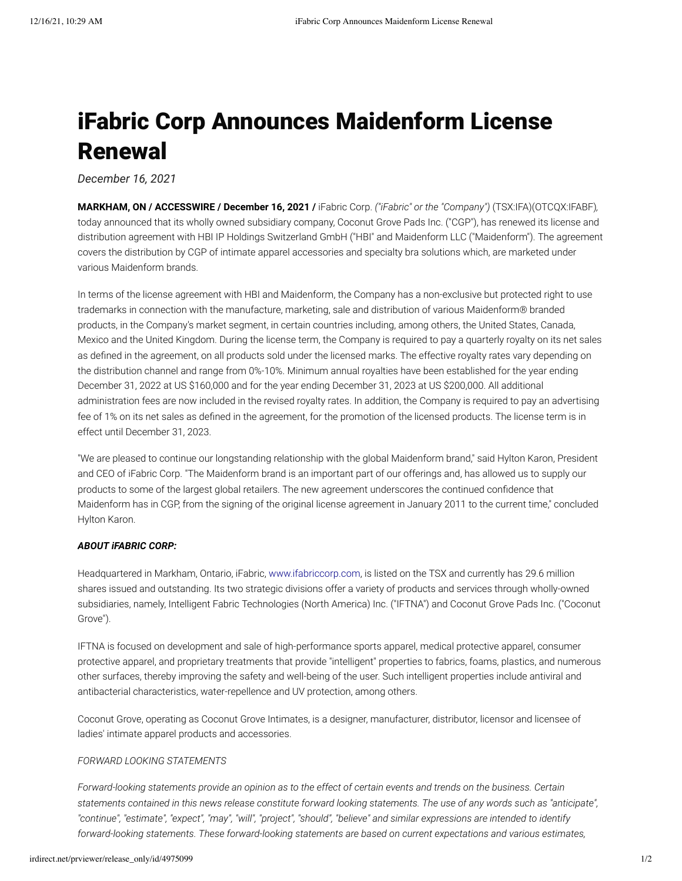# iFabric Corp Announces Maidenform License Renewal

*December 16, 2021*

**MARKHAM, ON / ACCESSWIRE / December 16, 2021 /** iFabric Corp. *("iFabric" or the "Company")* (TSX:IFA)(OTCQX:IFABF)*,* today announced that its wholly owned subsidiary company, Coconut Grove Pads Inc. ("CGP"), has renewed its license and distribution agreement with HBI IP Holdings Switzerland GmbH ("HBI" and Maidenform LLC ("Maidenform"). The agreement covers the distribution by CGP of intimate apparel accessories and specialty bra solutions which, are marketed under various Maidenform brands.

In terms of the license agreement with HBI and Maidenform, the Company has a non-exclusive but protected right to use trademarks in connection with the manufacture, marketing, sale and distribution of various Maidenform® branded products, in the Company's market segment, in certain countries including, among others, the United States, Canada, Mexico and the United Kingdom. During the license term, the Company is required to pay a quarterly royalty on its net sales as defined in the agreement, on all products sold under the licensed marks. The effective royalty rates vary depending on the distribution channel and range from 0%-10%. Minimum annual royalties have been established for the year ending December 31, 2022 at US \$160,000 and for the year ending December 31, 2023 at US \$200,000. All additional administration fees are now included in the revised royalty rates. In addition, the Company is required to pay an advertising fee of 1% on its net sales as defined in the agreement, for the promotion of the licensed products. The license term is in effect until December 31, 2023.

"We are pleased to continue our longstanding relationship with the global Maidenform brand," said Hylton Karon, President and CEO of iFabric Corp. "The Maidenform brand is an important part of our offerings and, has allowed us to supply our products to some of the largest global retailers. The new agreement underscores the continued confidence that Maidenform has in CGP, from the signing of the original license agreement in January 2011 to the current time," concluded Hylton Karon.

# *ABOUT iFABRIC CORP:*

Headquartered in Markham, Ontario, iFabric, [www.ifabriccorp.com,](https://pr.report/e3DcHoJL) is listed on the TSX and currently has 29.6 million shares issued and outstanding. Its two strategic divisions offer a variety of products and services through wholly-owned subsidiaries, namely, Intelligent Fabric Technologies (North America) Inc. ("IFTNA") and Coconut Grove Pads Inc. ("Coconut Grove").

IFTNA is focused on development and sale of high-performance sports apparel, medical protective apparel, consumer protective apparel, and proprietary treatments that provide "intelligent" properties to fabrics, foams, plastics, and numerous other surfaces, thereby improving the safety and well-being of the user. Such intelligent properties include antiviral and antibacterial characteristics, water-repellence and UV protection, among others.

Coconut Grove, operating as Coconut Grove Intimates, is a designer, manufacturer, distributor, licensor and licensee of ladies' intimate apparel products and accessories.

## *FORWARD LOOKING STATEMENTS*

*Forward-looking statements provide an opinion as to the effect of certain events and trends on the business. Certain statements contained in this news release constitute forward looking statements. The use of any words such as "anticipate", "continue", "estimate", "expect", "may", "will", "project", "should", "believe" and similar expressions are intended to identify forward-looking statements. These forward-looking statements are based on current expectations and various estimates,*